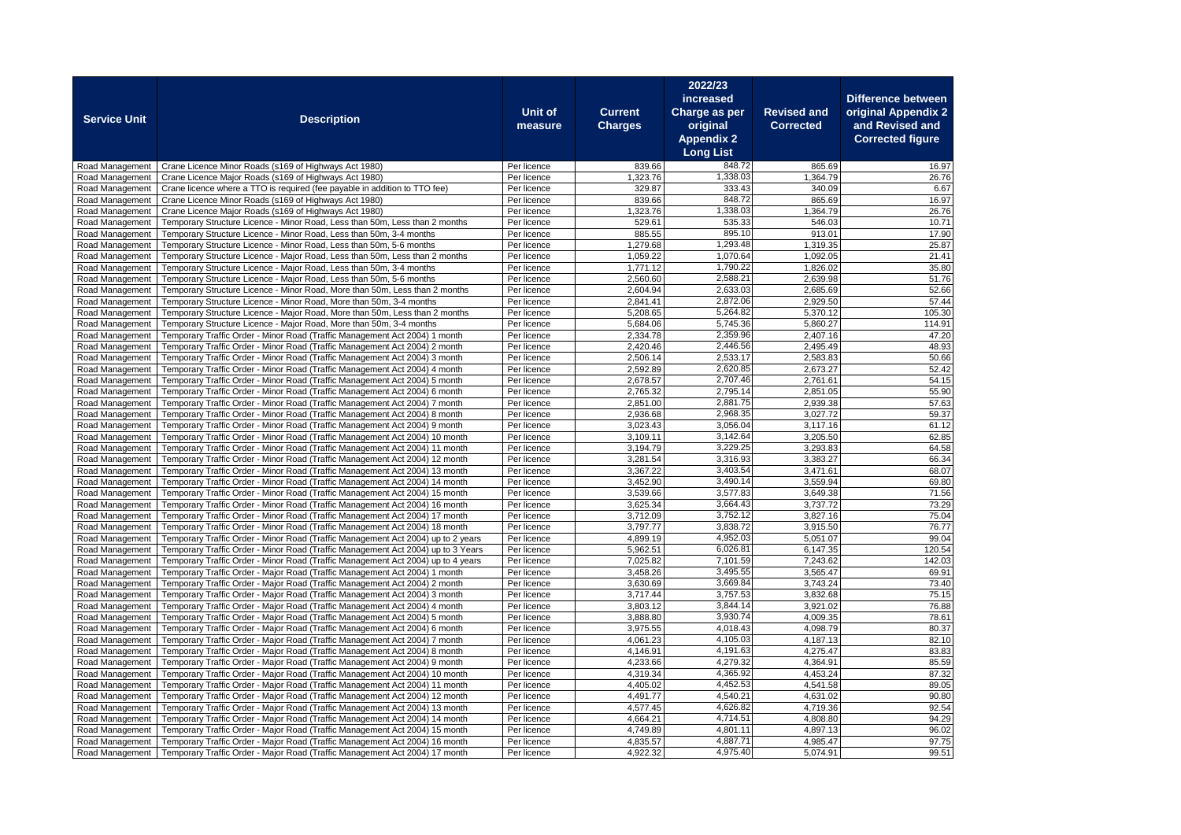|                                    |                                                                                                                                                            |                            |                      | 2022/23              |                      |                           |
|------------------------------------|------------------------------------------------------------------------------------------------------------------------------------------------------------|----------------------------|----------------------|----------------------|----------------------|---------------------------|
|                                    |                                                                                                                                                            |                            |                      | increased            |                      | <b>Difference between</b> |
| <b>Service Unit</b>                | <b>Description</b>                                                                                                                                         | Unit of                    | <b>Current</b>       | Charge as per        | <b>Revised and</b>   | original Appendix 2       |
|                                    |                                                                                                                                                            | measure                    | <b>Charges</b>       | original             | <b>Corrected</b>     | and Revised and           |
|                                    |                                                                                                                                                            |                            |                      | <b>Appendix 2</b>    |                      | <b>Corrected figure</b>   |
|                                    |                                                                                                                                                            |                            |                      | <b>Long List</b>     |                      |                           |
| Road Management                    | Crane Licence Minor Roads (s169 of Highways Act 1980)                                                                                                      | Per licence                | 839.66               | 848.72               | 865.69               | 16.97                     |
| Road Management                    | Crane Licence Major Roads (s169 of Highways Act 1980)                                                                                                      | Per licence                | 1,323.76             | 1,338.03             | 1,364.79             | 26.76                     |
| Road Management<br>Road Management | Crane licence where a TTO is required (fee payable in addition to TTO fee)<br>Crane Licence Minor Roads (s169 of Highways Act 1980)                        | Per licence<br>Per licence | 329.87<br>839.66     | 333.43<br>848.72     | 340.09<br>865.69     | 6.67<br>16.97             |
| Road Management                    | Crane Licence Major Roads (s169 of Highways Act 1980)                                                                                                      | Per licence                | 1,323.76             | 1,338.03             | 1,364.79             | 26.76                     |
| Road Management                    | Temporary Structure Licence - Minor Road, Less than 50m, Less than 2 months                                                                                | Per licence                | 529.61               | 535.33               | 546.03               | 10.71                     |
| Road Management                    | Temporary Structure Licence - Minor Road, Less than 50m, 3-4 months                                                                                        | Per licence                | 885.55               | 895.10               | 913.01               | 17.90                     |
| Road Management                    | Temporary Structure Licence - Minor Road, Less than 50m, 5-6 months                                                                                        | Per licence                | 1,279.68             | 1,293.48             | 1,319.35             | 25.87                     |
| Road Management                    | Temporary Structure Licence - Major Road, Less than 50m, Less than 2 months                                                                                | Per licence                | 1,059.22             | 1,070.64             | 1,092.05             | 21.41                     |
| Road Management                    | Temporary Structure Licence - Major Road, Less than 50m, 3-4 months                                                                                        | Per licence                | 1,771.12             | 1,790.22             | 1,826.02             | 35.80                     |
| Road Management                    | Temporary Structure Licence - Major Road, Less than 50m, 5-6 months                                                                                        | Per licence                | 2,560.60             | 2,588.21             | 2,639.98             | 51.76                     |
| Road Management                    | Temporary Structure Licence - Minor Road, More than 50m, Less than 2 months                                                                                | Per licence                | 2,604.94             | 2,633.03             | 2,685.69             | 52.66                     |
| Road Management                    | Temporary Structure Licence - Minor Road, More than 50m, 3-4 months                                                                                        | Per licence                | 2.841.41             | 2,872.06             | 2,929.50             | 57.44                     |
| Road Management                    | Temporary Structure Licence - Major Road, More than 50m, Less than 2 months                                                                                | Per licence                | 5,208.65             | 5,264.82<br>5,745.36 | 5,370.12             | 105.30                    |
| Road Management<br>Road Management | Temporary Structure Licence - Major Road, More than 50m, 3-4 months<br>Temporary Traffic Order - Minor Road (Traffic Management Act 2004) 1 month          | Per licence<br>Per licence | 5,684.06<br>2,334.78 | 2,359.96             | 5,860.27<br>2,407.16 | 114.91<br>47.20           |
| Road Management                    | Temporary Traffic Order - Minor Road (Traffic Management Act 2004) 2 month                                                                                 | Per licence                | 2,420.46             | 2,446.56             | 2,495.49             | 48.93                     |
| Road Management                    | Temporary Traffic Order - Minor Road (Traffic Management Act 2004) 3 month                                                                                 | Per licence                | 2,506.14             | 2,533.17             | 2,583.83             | 50.66                     |
| Road Management                    | Temporary Traffic Order - Minor Road (Traffic Management Act 2004) 4 month                                                                                 | Per licence                | 2,592.89             | 2,620.85             | 2,673.27             | 52.42                     |
| Road Management                    | Temporary Traffic Order - Minor Road (Traffic Management Act 2004) 5 month                                                                                 | Per licence                | 2,678.57             | 2,707.46             | 2,761.61             | 54.15                     |
| Road Management                    | Temporary Traffic Order - Minor Road (Traffic Management Act 2004) 6 month                                                                                 | Per licence                | 2,765.32             | 2,795.14             | 2,851.05             | 55.90                     |
| Road Management                    | Temporary Traffic Order - Minor Road (Traffic Management Act 2004) 7 month                                                                                 | Per licence                | 2,851.00             | 2,881.75             | 2,939.38             | 57.63                     |
| Road Management                    | Temporary Traffic Order - Minor Road (Traffic Management Act 2004) 8 month                                                                                 | Per licence                | 2,936.68             | 2,968.35             | 3,027.72             | 59.37                     |
| Road Management                    | Temporary Traffic Order - Minor Road (Traffic Management Act 2004) 9 month                                                                                 | Per licence                | 3,023.43             | 3,056.04             | 3,117.16             | 61.12                     |
| Road Management                    | Temporary Traffic Order - Minor Road (Traffic Management Act 2004) 10 month                                                                                | Per licence                | 3,109.11             | 3,142.64             | 3,205.50             | 62.85                     |
| Road Management                    | Temporary Traffic Order - Minor Road (Traffic Management Act 2004) 11 month                                                                                | Per licence                | 3,194.79             | 3,229.25             | 3,293.83             | 64.58                     |
| Road Management<br>Road Management | Temporary Traffic Order - Minor Road (Traffic Management Act 2004) 12 month<br>Temporary Traffic Order - Minor Road (Traffic Management Act 2004) 13 month | Per licence<br>Per licence | 3,281.54<br>3,367.22 | 3,316.93<br>3,403.54 | 3,383.27<br>3,471.61 | 66.34<br>68.07            |
| Road Management                    | Temporary Traffic Order - Minor Road (Traffic Management Act 2004) 14 month                                                                                | Per licence                | 3,452.90             | 3,490.14             | 3,559.94             | 69.80                     |
| Road Management                    | Temporary Traffic Order - Minor Road (Traffic Management Act 2004) 15 month                                                                                | Per licence                | 3,539.66             | 3,577.83             | 3,649.38             | 71.56                     |
| Road Management                    | Temporary Traffic Order - Minor Road (Traffic Management Act 2004) 16 month                                                                                | Per licence                | 3,625.34             | 3,664.43             | 3,737.72             | 73.29                     |
| Road Management                    | Temporary Traffic Order - Minor Road (Traffic Management Act 2004) 17 month                                                                                | Per licence                | 3,712.09             | 3,752.12             | 3,827.16             | 75.04                     |
| Road Management                    | Temporary Traffic Order - Minor Road (Traffic Management Act 2004) 18 month                                                                                | Per licence                | 3,797.77             | 3,838.72             | 3,915.50             | 76.77                     |
| Road Management                    | Temporary Traffic Order - Minor Road (Traffic Management Act 2004) up to 2 years                                                                           | Per licence                | 4,899.19             | 4,952.03             | 5,051.07             | 99.04                     |
| Road Management                    | Temporary Traffic Order - Minor Road (Traffic Management Act 2004) up to 3 Years                                                                           | Per licence                | 5,962.51             | 6,026.81             | 6,147.35             | 120.54                    |
| Road Management                    | Temporary Traffic Order - Minor Road (Traffic Management Act 2004) up to 4 years                                                                           | Per licence                | 7,025.82             | 7,101.59             | 7,243.62             | 142.03                    |
| Road Management                    | Temporary Traffic Order - Major Road (Traffic Management Act 2004) 1 month                                                                                 | Per licence                | 3,458.26             | 3,495.55             | 3,565.47             | 69.91                     |
| Road Management                    | Temporary Traffic Order - Major Road (Traffic Management Act 2004) 2 month                                                                                 | Per licence                | 3,630.69             | 3,669.84<br>3,757.53 | 3,743.24<br>3,832.68 | 73.40<br>75.15            |
| Road Management<br>Road Management | Temporary Traffic Order - Major Road (Traffic Management Act 2004) 3 month<br>Temporary Traffic Order - Major Road (Traffic Management Act 2004) 4 month   | Per licence<br>Per licence | 3,717.44<br>3,803.12 | 3,844.14             | 3,921.02             | 76.88                     |
| Road Management                    | Temporary Traffic Order - Major Road (Traffic Management Act 2004) 5 month                                                                                 | Per licence                | 3,888.80             | 3,930.74             | 4,009.35             | 78.61                     |
| Road Management                    | Temporary Traffic Order - Major Road (Traffic Management Act 2004) 6 month                                                                                 | Per licence                | 3,975.55             | 4,018.43             | 4,098.79             | 80.37                     |
| Road Management                    | Temporary Traffic Order - Major Road (Traffic Management Act 2004) 7 month                                                                                 | Per licence                | 4,061.23             | 4,105.03             | 4,187.13             | 82.10                     |
| Road Management                    | Temporary Traffic Order - Major Road (Traffic Management Act 2004) 8 month                                                                                 | Per licence                | 4,146.91             | 4,191.63             | 4,275.47             | 83.83                     |
| Road Management                    | Temporary Traffic Order - Major Road (Traffic Management Act 2004) 9 month                                                                                 | Per licence                | 4,233.66             | 4,279.32             | 4,364.91             | 85.59                     |
| Road Management                    | Temporary Traffic Order - Major Road (Traffic Management Act 2004) 10 month                                                                                | Per licence                | 4,319.34             | 4,365.92             | 4,453.24             | 87.32                     |
| Road Management                    | Temporary Traffic Order - Major Road (Traffic Management Act 2004) 11 month                                                                                | Per licence                | 4,405.02             | 4,452.53             | 4,541.58             | 89.05                     |
| Road Management                    | Temporary Traffic Order - Major Road (Traffic Management Act 2004) 12 month                                                                                | Per licence                | 4,491.77             | 4,540.21             | 4,631.02             | 90.80                     |
| Road Management                    | Temporary Traffic Order - Major Road (Traffic Management Act 2004) 13 month                                                                                | Per licence                | 4,577.45             | 4,626.82             | 4,719.36             | 92.54                     |
| Road Management                    | Temporary Traffic Order - Major Road (Traffic Management Act 2004) 14 month                                                                                | Per licence                | 4,664.21             | 4,714.51<br>4,801.11 | 4,808.80             | 94.29                     |
| Road Management<br>Road Management | Temporary Traffic Order - Major Road (Traffic Management Act 2004) 15 month<br>Temporary Traffic Order - Major Road (Traffic Management Act 2004) 16 month | Per licence<br>Per licence | 4,749.89<br>4.835.57 | 4,887.71             | 4,897.13<br>4.985.47 | 96.02<br>97.75            |
| Road Management                    | Temporary Traffic Order - Major Road (Traffic Management Act 2004) 17 month                                                                                | Per licence                | 4.922.32             | 4,975.40             | 5,074.91             | 99.51                     |